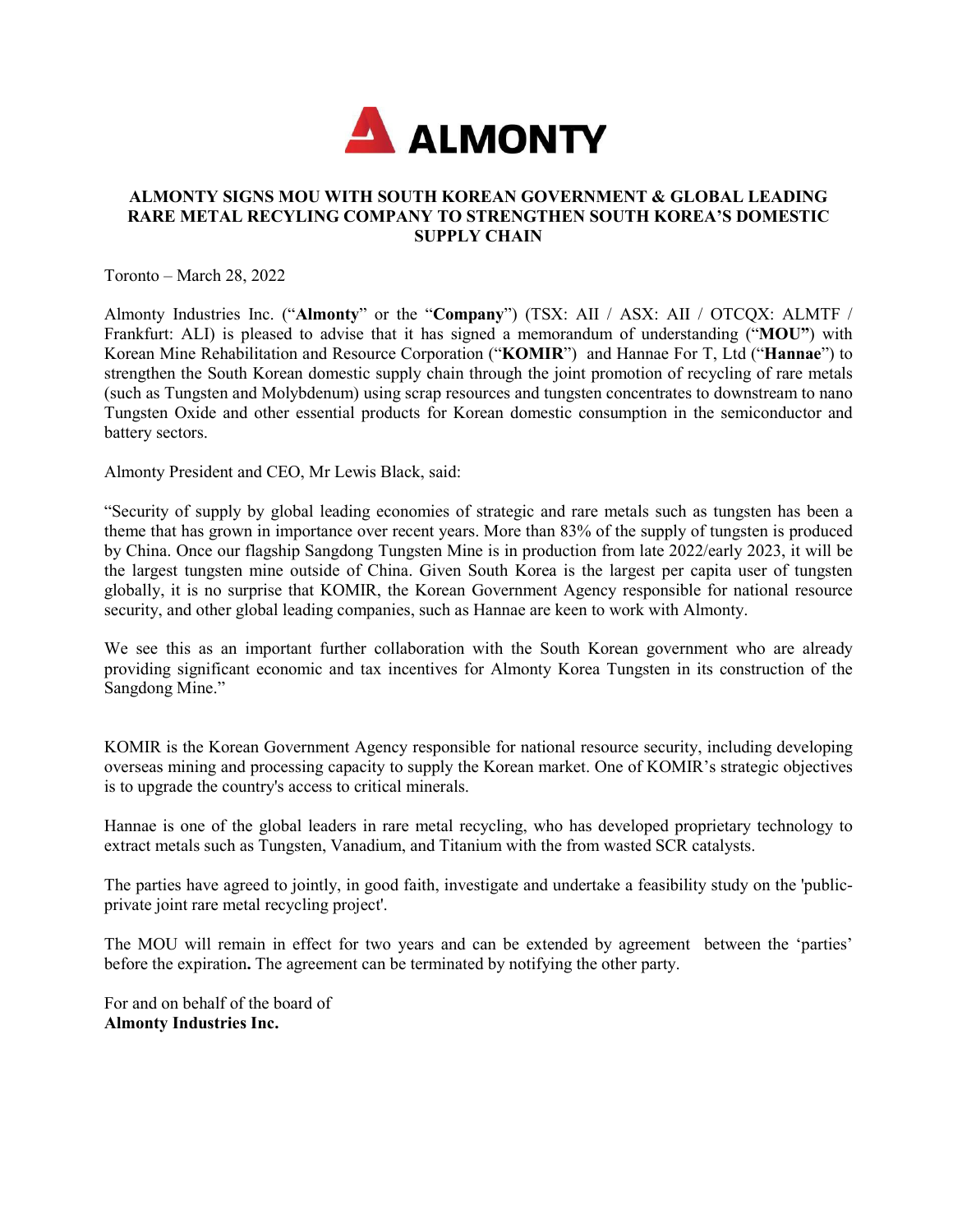

#### **ALMONTY SIGNS MOU WITH SOUTH KOREAN GOVERNMENT & GLOBAL LEADING RARE METAL RECYLING COMPANY TO STRENGTHEN SOUTH KOREA'S DOMESTIC SUPPLY CHAIN**

Toronto – March 28, 2022

Almonty Industries Inc. ("**Almonty**" or the "**Company**") (TSX: AII / ASX: AII / OTCQX: ALMTF / Frankfurt: ALI) is pleased to advise that it has signed a memorandum of understanding ("**MOU"**) with Korean Mine Rehabilitation and Resource Corporation ("**KOMIR**") and Hannae For T, Ltd ("**Hannae**") to strengthen the South Korean domestic supply chain through the joint promotion of recycling of rare metals (such as Tungsten and Molybdenum) using scrap resources and tungsten concentrates to downstream to nano Tungsten Oxide and other essential products for Korean domestic consumption in the semiconductor and battery sectors.

Almonty President and CEO, Mr Lewis Black, said:

"Security of supply by global leading economies of strategic and rare metals such as tungsten has been a theme that has grown in importance over recent years. More than 83% of the supply of tungsten is produced by China. Once our flagship Sangdong Tungsten Mine is in production from late 2022/early 2023, it will be the largest tungsten mine outside of China. Given South Korea is the largest per capita user of tungsten globally, it is no surprise that KOMIR, the Korean Government Agency responsible for national resource security, and other global leading companies, such as Hannae are keen to work with Almonty.

We see this as an important further collaboration with the South Korean government who are already providing significant economic and tax incentives for Almonty Korea Tungsten in its construction of the Sangdong Mine."

KOMIR is the Korean Government Agency responsible for national resource security, including developing overseas mining and processing capacity to supply the Korean market. One of KOMIR's strategic objectives is to upgrade the country's access to critical minerals.

Hannae is one of the global leaders in rare metal recycling, who has developed proprietary technology to extract metals such as Tungsten, Vanadium, and Titanium with the from wasted SCR catalysts.

The parties have agreed to jointly, in good faith, investigate and undertake a feasibility study on the 'publicprivate joint rare metal recycling project'.

The MOU will remain in effect for two years and can be extended by agreement between the 'parties' before the expiration**.** The agreement can be terminated by notifying the other party.

For and on behalf of the board of **Almonty Industries Inc.**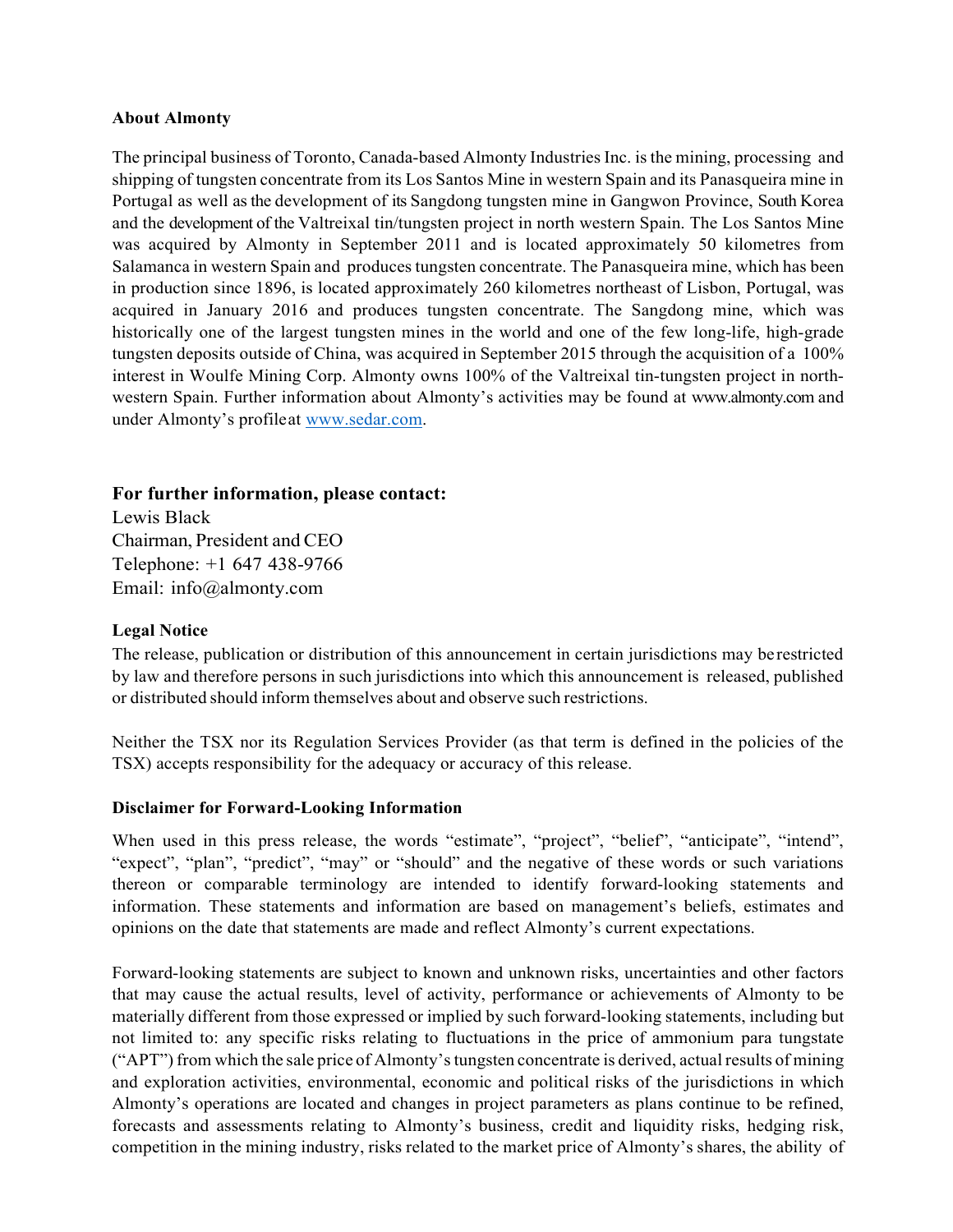#### **About Almonty**

The principal business of Toronto, Canada-based Almonty Industries Inc. is the mining, processing and shipping of tungsten concentrate from its Los Santos Mine in western Spain and its Panasqueira mine in Portugal as well asthe development of its Sangdong tungsten mine in Gangwon Province, South Korea and the development of the Valtreixal tin/tungsten project in north western Spain. The Los Santos Mine was acquired by Almonty in September 2011 and is located approximately 50 kilometres from Salamanca in western Spain and produces tungsten concentrate. The Panasqueira mine, which has been in production since 1896, is located approximately 260 kilometres northeast of Lisbon, Portugal, was acquired in January 2016 and produces tungsten concentrate. The Sangdong mine, which was historically one of the largest tungsten mines in the world and one of the few long-life, high-grade tungsten deposits outside of China, was acquired in September 2015 through the acquisition of a 100% interest in Woulfe Mining Corp. Almonty owns 100% of the Valtreixal tin-tungsten project in northwestern Spain. Further information about Almonty's activities may be found at [www.almonty.com a](http://www.almonty.com/)nd under Almonty's profileat [www.sedar.com.](http://www.sedar.com/)

## **For further information, please contact:**

Lewis Black Chairman, President and CEO Telephone: +1 647 438-9766 Email: [info@almonty.com](mailto:info@almonty.com)

## **Legal Notice**

The release, publication or distribution of this announcement in certain jurisdictions may be restricted by law and therefore persons in such jurisdictions into which this announcement is released, published or distributed should inform themselves about and observe such restrictions.

Neither the TSX nor its Regulation Services Provider (as that term is defined in the policies of the TSX) accepts responsibility for the adequacy or accuracy of this release.

## **Disclaimer for Forward-Looking Information**

When used in this press release, the words "estimate", "project", "belief", "anticipate", "intend", "expect", "plan", "predict", "may" or "should" and the negative of these words or such variations thereon or comparable terminology are intended to identify forward-looking statements and information. These statements and information are based on management's beliefs, estimates and opinions on the date that statements are made and reflect Almonty's current expectations.

Forward-looking statements are subject to known and unknown risks, uncertainties and other factors that may cause the actual results, level of activity, performance or achievements of Almonty to be materially different from those expressed or implied by such forward-looking statements, including but not limited to: any specific risks relating to fluctuations in the price of ammonium para tungstate ("APT") from which the sale price of Almonty's tungsten concentrate is derived, actual results of mining and exploration activities, environmental, economic and political risks of the jurisdictions in which Almonty's operations are located and changes in project parameters as plans continue to be refined, forecasts and assessments relating to Almonty's business, credit and liquidity risks, hedging risk, competition in the mining industry, risks related to the market price of Almonty's shares, the ability of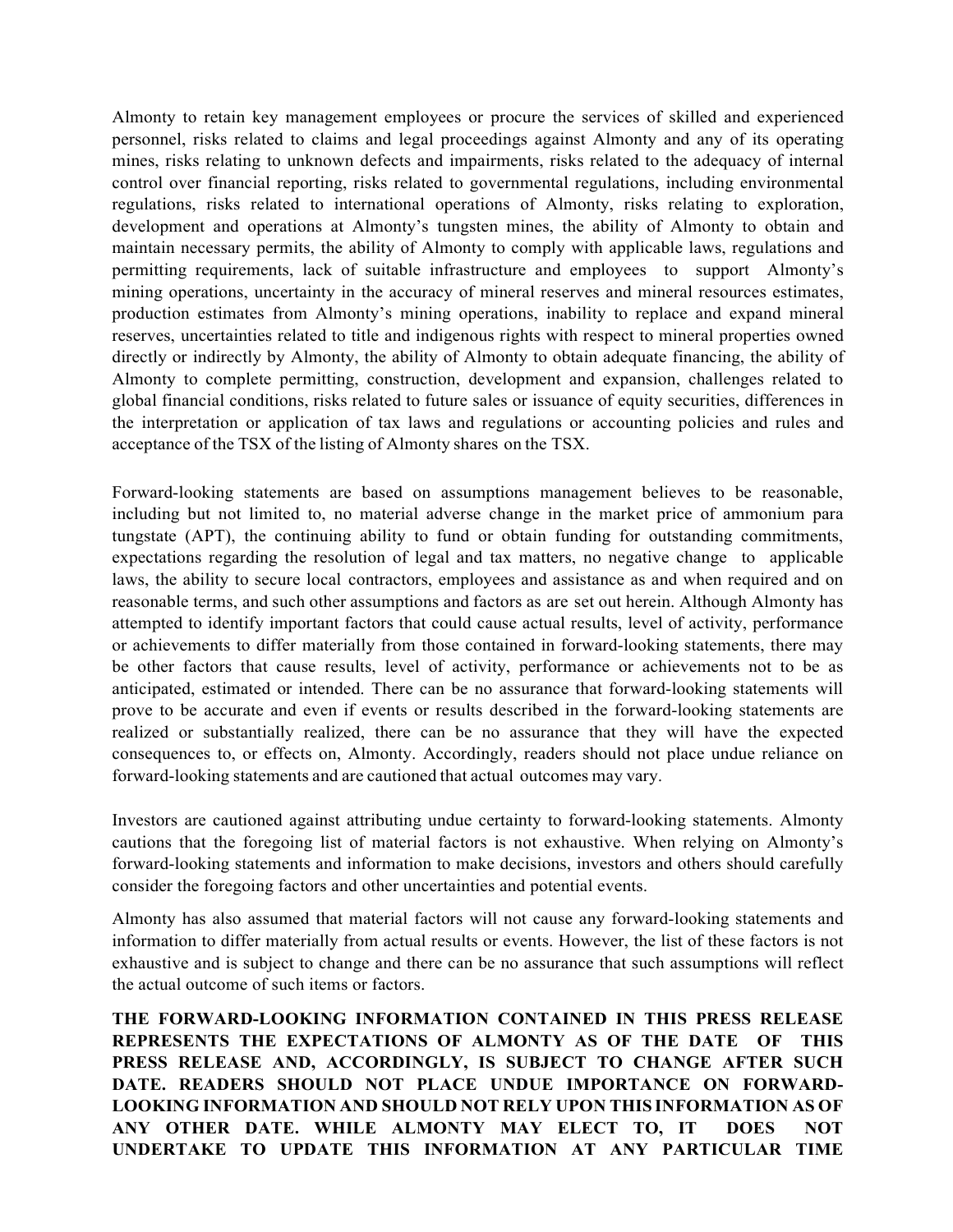Almonty to retain key management employees or procure the services of skilled and experienced personnel, risks related to claims and legal proceedings against Almonty and any of its operating mines, risks relating to unknown defects and impairments, risks related to the adequacy of internal control over financial reporting, risks related to governmental regulations, including environmental regulations, risks related to international operations of Almonty, risks relating to exploration, development and operations at Almonty's tungsten mines, the ability of Almonty to obtain and maintain necessary permits, the ability of Almonty to comply with applicable laws, regulations and permitting requirements, lack of suitable infrastructure and employees to support Almonty's mining operations, uncertainty in the accuracy of mineral reserves and mineral resources estimates, production estimates from Almonty's mining operations, inability to replace and expand mineral reserves, uncertainties related to title and indigenous rights with respect to mineral properties owned directly or indirectly by Almonty, the ability of Almonty to obtain adequate financing, the ability of Almonty to complete permitting, construction, development and expansion, challenges related to global financial conditions, risks related to future sales or issuance of equity securities, differences in the interpretation or application of tax laws and regulations or accounting policies and rules and acceptance of the TSX of the listing of Almonty shares on the TSX.

Forward-looking statements are based on assumptions management believes to be reasonable, including but not limited to, no material adverse change in the market price of ammonium para tungstate (APT), the continuing ability to fund or obtain funding for outstanding commitments, expectations regarding the resolution of legal and tax matters, no negative change to applicable laws, the ability to secure local contractors, employees and assistance as and when required and on reasonable terms, and such other assumptions and factors as are set out herein. Although Almonty has attempted to identify important factors that could cause actual results, level of activity, performance or achievements to differ materially from those contained in forward-looking statements, there may be other factors that cause results, level of activity, performance or achievements not to be as anticipated, estimated or intended. There can be no assurance that forward-looking statements will prove to be accurate and even if events or results described in the forward-looking statements are realized or substantially realized, there can be no assurance that they will have the expected consequences to, or effects on, Almonty. Accordingly, readers should not place undue reliance on forward-looking statements and are cautioned that actual outcomes may vary.

Investors are cautioned against attributing undue certainty to forward-looking statements. Almonty cautions that the foregoing list of material factors is not exhaustive. When relying on Almonty's forward-looking statements and information to make decisions, investors and others should carefully consider the foregoing factors and other uncertainties and potential events.

Almonty has also assumed that material factors will not cause any forward-looking statements and information to differ materially from actual results or events. However, the list of these factors is not exhaustive and is subject to change and there can be no assurance that such assumptions will reflect the actual outcome of such items or factors.

**THE FORWARD-LOOKING INFORMATION CONTAINED IN THIS PRESS RELEASE REPRESENTS THE EXPECTATIONS OF ALMONTY AS OF THE DATE OF THIS PRESS RELEASE AND, ACCORDINGLY, IS SUBJECT TO CHANGE AFTER SUCH DATE. READERS SHOULD NOT PLACE UNDUE IMPORTANCE ON FORWARD-LOOKING INFORMATION AND SHOULD NOT RELY UPON THIS INFORMATION AS OF ANY OTHER DATE. WHILE ALMONTY MAY ELECT TO, IT DOES NOT UNDERTAKE TO UPDATE THIS INFORMATION AT ANY PARTICULAR TIME**